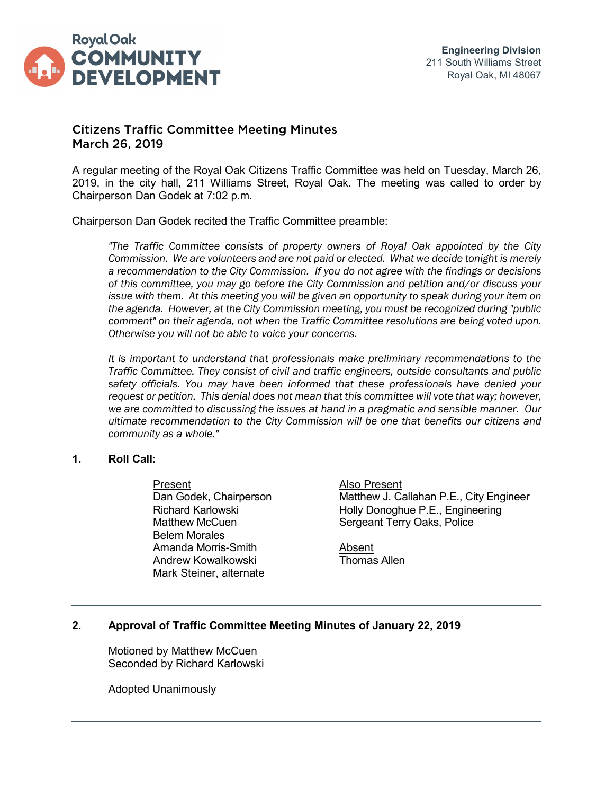

# Citizens Traffic Committee Meeting Minutes March 26, 2019

A regular meeting of the Royal Oak Citizens Traffic Committee was held on Tuesday, March 26, 2019, in the city hall, 211 Williams Street, Royal Oak. The meeting was called to order by Chairperson Dan Godek at 7:02 p.m.

Chairperson Dan Godek recited the Traffic Committee preamble:

*"The Traffic Committee consists of property owners of Royal Oak appointed by the City Commission. We are volunteers and are not paid or elected. What we decide tonight is merely a recommendation to the City Commission. If you do not agree with the findings or decisions of this committee, you may go before the City Commission and petition and/or discuss your*  issue with them. At this meeting you will be given an opportunity to speak during your item on *the agenda. However, at the City Commission meeting, you must be recognized during "public comment" on their agenda, not when the Traffic Committee resolutions are being voted upon. Otherwise you will not be able to voice your concerns.*

*It is important to understand that professionals make preliminary recommendations to the Traffic Committee. They consist of civil and traffic engineers, outside consultants and public safety officials. You may have been informed that these professionals have denied your request or petition. This denial does not mean that this committee will vote that way; however, we are committed to discussing the issues at hand in a pragmatic and sensible manner. Our ultimate recommendation to the City Commission will be one that benefits our citizens and community as a whole."*

### **1. Roll Call:**

Present<br>
Dan Godek, Chairperson<br>
Matthew J. Ca Belem Morales Amanda Morris-Smith **Amanda Morris** Absent Andrew Kowalkowski **Thomas Allen** Mark Steiner, alternate

Matthew J. Callahan P.E., City Engineer Richard Karlowski **Holly Donoghue P.E., Engineering** Matthew McCuen Sergeant Terry Oaks, Police

## **2. Approval of Traffic Committee Meeting Minutes of January 22, 2019**

Motioned by Matthew McCuen Seconded by Richard Karlowski

Adopted Unanimously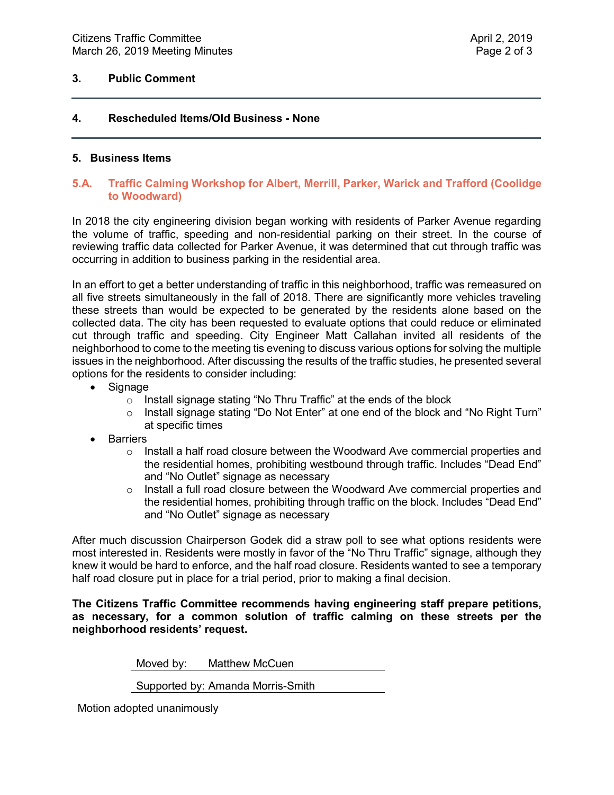### **3. Public Comment**

# **4. Rescheduled Items/Old Business - None**

#### **5. Business Items**

### **5.A. Traffic Calming Workshop for Albert, Merrill, Parker, Warick and Trafford (Coolidge to Woodward)**

In 2018 the city engineering division began working with residents of Parker Avenue regarding the volume of traffic, speeding and non-residential parking on their street. In the course of reviewing traffic data collected for Parker Avenue, it was determined that cut through traffic was occurring in addition to business parking in the residential area.

In an effort to get a better understanding of traffic in this neighborhood, traffic was remeasured on all five streets simultaneously in the fall of 2018. There are significantly more vehicles traveling these streets than would be expected to be generated by the residents alone based on the collected data. The city has been requested to evaluate options that could reduce or eliminated cut through traffic and speeding. City Engineer Matt Callahan invited all residents of the neighborhood to come to the meeting tis evening to discuss various options for solving the multiple issues in the neighborhood. After discussing the results of the traffic studies, he presented several options for the residents to consider including:

- Signage
	- $\circ$  Install signage stating "No Thru Traffic" at the ends of the block
	- $\circ$  Install signage stating "Do Not Enter" at one end of the block and "No Right Turn" at specific times
- Barriers
	- $\circ$  Install a half road closure between the Woodward Ave commercial properties and the residential homes, prohibiting westbound through traffic. Includes "Dead End" and "No Outlet" signage as necessary
	- $\circ$  Install a full road closure between the Woodward Ave commercial properties and the residential homes, prohibiting through traffic on the block. Includes "Dead End" and "No Outlet" signage as necessary

After much discussion Chairperson Godek did a straw poll to see what options residents were most interested in. Residents were mostly in favor of the "No Thru Traffic" signage, although they knew it would be hard to enforce, and the half road closure. Residents wanted to see a temporary half road closure put in place for a trial period, prior to making a final decision.

**The Citizens Traffic Committee recommends having engineering staff prepare petitions, as necessary, for a common solution of traffic calming on these streets per the neighborhood residents' request.**

Moved by: Matthew McCuen

Supported by: Amanda Morris-Smith

Motion adopted unanimously